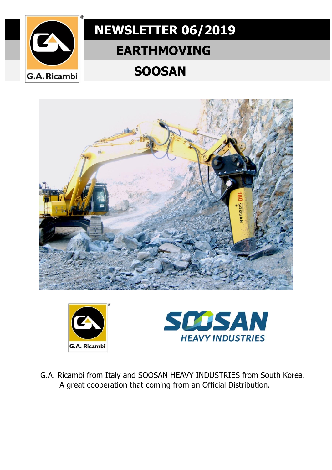

# **NEWSLETTER 06/2019**

### **EARTHMOVING**

#### **SOOSAN**







G.A. Ricambi from Italy and SOOSAN HEAVY INDUSTRIES from South Korea. A great cooperation that coming from an Official Distribution.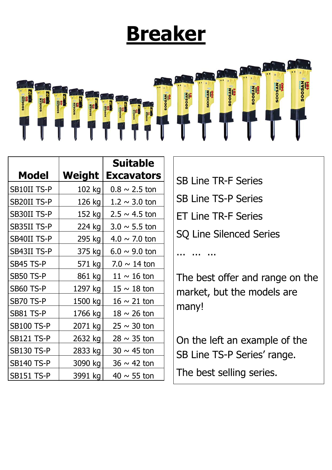### **Breaker**



|                   |         | <b>Suitable</b>            |
|-------------------|---------|----------------------------|
| <b>Model</b>      | Weight  | <b>Excavators</b>          |
| SB10II TS-P       | 102 kg  | $0.8 \sim 2.5$ ton         |
| SB20II TS-P       | 126 kg  | $1.2 \sim 3.0$ ton         |
| SB30II TS-P       | 152 kg  | $2.5 \sim 4.5$ ton         |
| SB35II TS-P       | 224 kg  | $3.0 \sim 5.5$ ton         |
| SB40II TS-P       | 295 kg  | $4.0 \sim 7.0 \text{ ton}$ |
| SB43II TS-P       | 375 kg  | 6.0 $\sim$ 9.0 ton         |
| SB45 TS-P         | 571 kg  | $7.0 \sim 14$ ton          |
| <b>SB50 TS-P</b>  | 861 kg  | $11 \sim 16$ ton           |
| SB60 TS-P         | 1297 kg | $15 \sim 18$ ton           |
| SB70 TS-P         | 1500 kg | $16 \sim 21$ ton           |
| <b>SB81 TS-P</b>  | 1766 kg | $18 \sim 26$ ton           |
| <b>SB100 TS-P</b> | 2071 kg | $25 \sim 30$ ton           |
| <b>SB121 TS-P</b> | 2632 kg | $28 \sim 35$ ton           |
| <b>SB130 TS-P</b> | 2833 kg | $30 \sim 45$ ton           |
| <b>SB140 TS-P</b> | 3090 kg | $36 \sim 42$ ton           |
| <b>SB151 TS-P</b> | 3991 kg | $40 \sim 55$ ton           |

SB Line TR-F Series

- SB Line TS-P Series
- ET Line TR-F Series

SQ Line Silenced Series

... ... ...

The best offer and range on the market, but the models are many!

On the left an example of the SB Line TS-P Series' range.

The best selling series.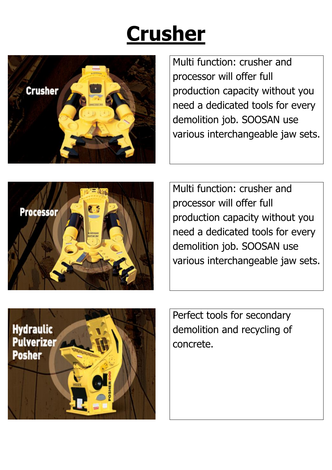## **Crusher**



Multi function: crusher and processor will offer full production capacity without you need a dedicated tools for every demolition job. SOOSAN use various interchangeable jaw sets.



Multi function: crusher and processor will offer full production capacity without you need a dedicated tools for every demolition job. SOOSAN use various interchangeable jaw sets.



Perfect tools for secondary demolition and recycling of concrete.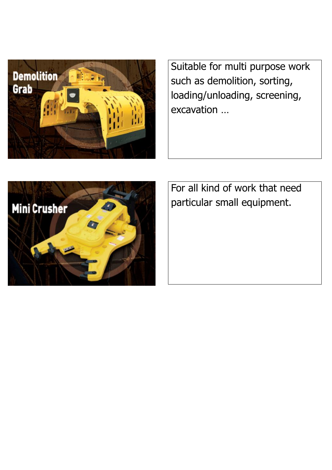

Suitable for multi purpose work such as demolition, sorting, loading/unloading, screening, excavation …



For all kind of work that need particular small equipment.